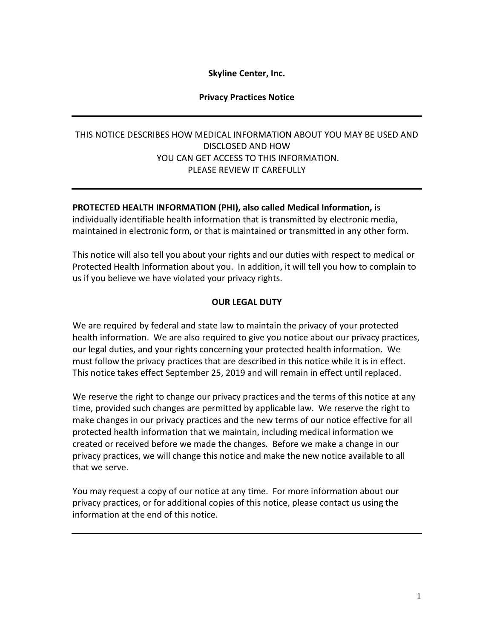## **Skyline Center, Inc.**

#### **Privacy Practices Notice**

# THIS NOTICE DESCRIBES HOW MEDICAL INFORMATION ABOUT YOU MAY BE USED AND DISCLOSED AND HOW YOU CAN GET ACCESS TO THIS INFORMATION. PLEASE REVIEW IT CAREFULLY

#### **PROTECTED HEALTH INFORMATION (PHI), also called Medical Information,** is

individually identifiable health information that is transmitted by electronic media, maintained in electronic form, or that is maintained or transmitted in any other form.

This notice will also tell you about your rights and our duties with respect to medical or Protected Health Information about you. In addition, it will tell you how to complain to us if you believe we have violated your privacy rights.

### **OUR LEGAL DUTY**

We are required by federal and state law to maintain the privacy of your protected health information. We are also required to give you notice about our privacy practices, our legal duties, and your rights concerning your protected health information. We must follow the privacy practices that are described in this notice while it is in effect. This notice takes effect September 25, 2019 and will remain in effect until replaced.

We reserve the right to change our privacy practices and the terms of this notice at any time, provided such changes are permitted by applicable law. We reserve the right to make changes in our privacy practices and the new terms of our notice effective for all protected health information that we maintain, including medical information we created or received before we made the changes. Before we make a change in our privacy practices, we will change this notice and make the new notice available to all that we serve.

You may request a copy of our notice at any time. For more information about our privacy practices, or for additional copies of this notice, please contact us using the information at the end of this notice.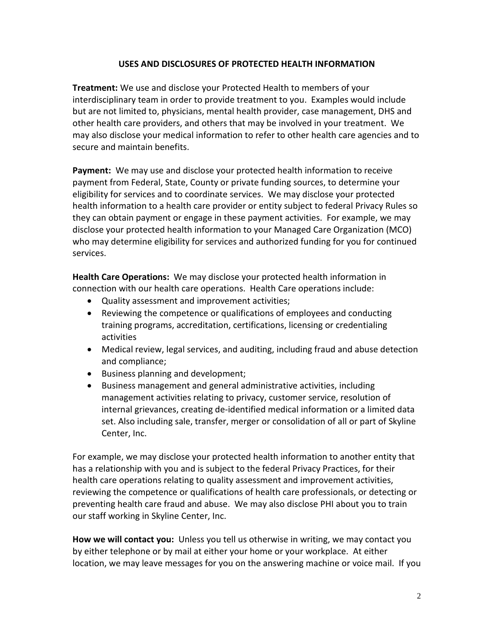### **USES AND DISCLOSURES OF PROTECTED HEALTH INFORMATION**

**Treatment:** We use and disclose your Protected Health to members of your interdisciplinary team in order to provide treatment to you. Examples would include but are not limited to, physicians, mental health provider, case management, DHS and other health care providers, and others that may be involved in your treatment. We may also disclose your medical information to refer to other health care agencies and to secure and maintain benefits.

**Payment:** We may use and disclose your protected health information to receive payment from Federal, State, County or private funding sources, to determine your eligibility for services and to coordinate services. We may disclose your protected health information to a health care provider or entity subject to federal Privacy Rules so they can obtain payment or engage in these payment activities. For example, we may disclose your protected health information to your Managed Care Organization (MCO) who may determine eligibility for services and authorized funding for you for continued services.

**Health Care Operations:** We may disclose your protected health information in connection with our health care operations. Health Care operations include:

- Quality assessment and improvement activities;
- Reviewing the competence or qualifications of employees and conducting training programs, accreditation, certifications, licensing or credentialing activities
- Medical review, legal services, and auditing, including fraud and abuse detection and compliance;
- Business planning and development;
- Business management and general administrative activities, including management activities relating to privacy, customer service, resolution of internal grievances, creating de-identified medical information or a limited data set. Also including sale, transfer, merger or consolidation of all or part of Skyline Center, Inc.

For example, we may disclose your protected health information to another entity that has a relationship with you and is subject to the federal Privacy Practices, for their health care operations relating to quality assessment and improvement activities, reviewing the competence or qualifications of health care professionals, or detecting or preventing health care fraud and abuse. We may also disclose PHI about you to train our staff working in Skyline Center, Inc.

**How we will contact you:** Unless you tell us otherwise in writing, we may contact you by either telephone or by mail at either your home or your workplace. At either location, we may leave messages for you on the answering machine or voice mail. If you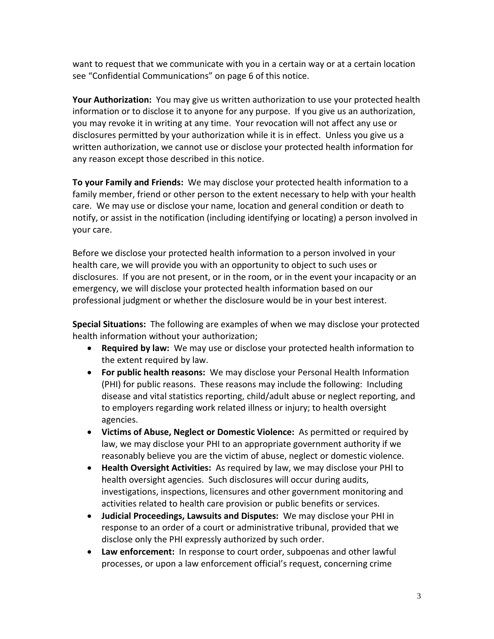want to request that we communicate with you in a certain way or at a certain location see "Confidential Communications" on page 6 of this notice.

**Your Authorization:** You may give us written authorization to use your protected health information or to disclose it to anyone for any purpose. If you give us an authorization, you may revoke it in writing at any time. Your revocation will not affect any use or disclosures permitted by your authorization while it is in effect. Unless you give us a written authorization, we cannot use or disclose your protected health information for any reason except those described in this notice.

**To your Family and Friends:** We may disclose your protected health information to a family member, friend or other person to the extent necessary to help with your health care. We may use or disclose your name, location and general condition or death to notify, or assist in the notification (including identifying or locating) a person involved in your care.

Before we disclose your protected health information to a person involved in your health care, we will provide you with an opportunity to object to such uses or disclosures. If you are not present, or in the room, or in the event your incapacity or an emergency, we will disclose your protected health information based on our professional judgment or whether the disclosure would be in your best interest.

**Special Situations:** The following are examples of when we may disclose your protected health information without your authorization;

- **Required by law:** We may use or disclose your protected health information to the extent required by law.
- **For public health reasons:** We may disclose your Personal Health Information (PHI) for public reasons. These reasons may include the following: Including disease and vital statistics reporting, child/adult abuse or neglect reporting, and to employers regarding work related illness or injury; to health oversight agencies.
- **Victims of Abuse, Neglect or Domestic Violence:** As permitted or required by law, we may disclose your PHI to an appropriate government authority if we reasonably believe you are the victim of abuse, neglect or domestic violence.
- **Health Oversight Activities:** As required by law, we may disclose your PHI to health oversight agencies. Such disclosures will occur during audits, investigations, inspections, licensures and other government monitoring and activities related to health care provision or public benefits or services.
- **Judicial Proceedings, Lawsuits and Disputes:** We may disclose your PHI in response to an order of a court or administrative tribunal, provided that we disclose only the PHI expressly authorized by such order.
- **Law enforcement:** In response to court order, subpoenas and other lawful processes, or upon a law enforcement official's request, concerning crime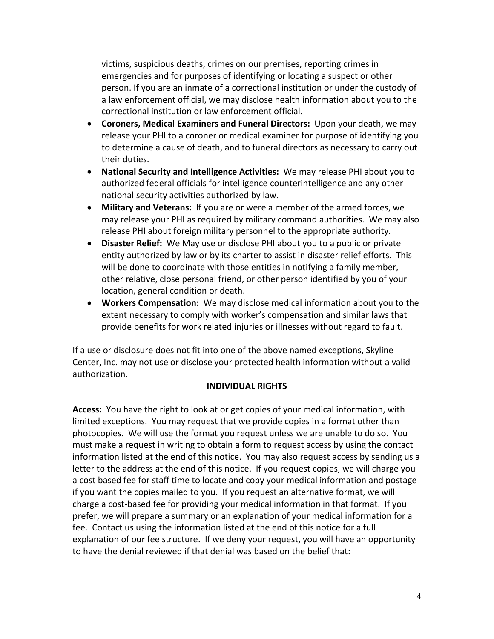victims, suspicious deaths, crimes on our premises, reporting crimes in emergencies and for purposes of identifying or locating a suspect or other person. If you are an inmate of a correctional institution or under the custody of a law enforcement official, we may disclose health information about you to the correctional institution or law enforcement official.

- **Coroners, Medical Examiners and Funeral Directors:** Upon your death, we may release your PHI to a coroner or medical examiner for purpose of identifying you to determine a cause of death, and to funeral directors as necessary to carry out their duties.
- **National Security and Intelligence Activities:** We may release PHI about you to authorized federal officials for intelligence counterintelligence and any other national security activities authorized by law.
- **Military and Veterans:** If you are or were a member of the armed forces, we may release your PHI as required by military command authorities. We may also release PHI about foreign military personnel to the appropriate authority.
- **Disaster Relief:** We May use or disclose PHI about you to a public or private entity authorized by law or by its charter to assist in disaster relief efforts. This will be done to coordinate with those entities in notifying a family member, other relative, close personal friend, or other person identified by you of your location, general condition or death.
- **Workers Compensation:** We may disclose medical information about you to the extent necessary to comply with worker's compensation and similar laws that provide benefits for work related injuries or illnesses without regard to fault.

If a use or disclosure does not fit into one of the above named exceptions, Skyline Center, Inc. may not use or disclose your protected health information without a valid authorization.

# **INDIVIDUAL RIGHTS**

**Access:** You have the right to look at or get copies of your medical information, with limited exceptions. You may request that we provide copies in a format other than photocopies. We will use the format you request unless we are unable to do so. You must make a request in writing to obtain a form to request access by using the contact information listed at the end of this notice. You may also request access by sending us a letter to the address at the end of this notice. If you request copies, we will charge you a cost based fee for staff time to locate and copy your medical information and postage if you want the copies mailed to you. If you request an alternative format, we will charge a cost-based fee for providing your medical information in that format. If you prefer, we will prepare a summary or an explanation of your medical information for a fee. Contact us using the information listed at the end of this notice for a full explanation of our fee structure. If we deny your request, you will have an opportunity to have the denial reviewed if that denial was based on the belief that: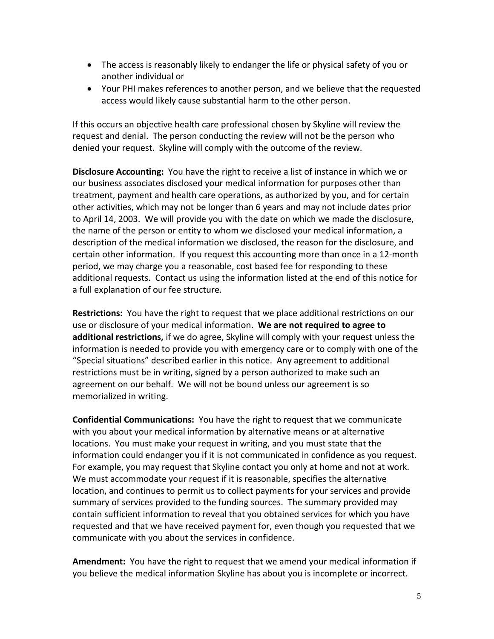- The access is reasonably likely to endanger the life or physical safety of you or another individual or
- Your PHI makes references to another person, and we believe that the requested access would likely cause substantial harm to the other person.

If this occurs an objective health care professional chosen by Skyline will review the request and denial. The person conducting the review will not be the person who denied your request. Skyline will comply with the outcome of the review.

**Disclosure Accounting:** You have the right to receive a list of instance in which we or our business associates disclosed your medical information for purposes other than treatment, payment and health care operations, as authorized by you, and for certain other activities, which may not be longer than 6 years and may not include dates prior to April 14, 2003. We will provide you with the date on which we made the disclosure, the name of the person or entity to whom we disclosed your medical information, a description of the medical information we disclosed, the reason for the disclosure, and certain other information. If you request this accounting more than once in a 12-month period, we may charge you a reasonable, cost based fee for responding to these additional requests. Contact us using the information listed at the end of this notice for a full explanation of our fee structure.

**Restrictions:** You have the right to request that we place additional restrictions on our use or disclosure of your medical information. **We are not required to agree to additional restrictions,** if we do agree, Skyline will comply with your request unless the information is needed to provide you with emergency care or to comply with one of the "Special situations" described earlier in this notice. Any agreement to additional restrictions must be in writing, signed by a person authorized to make such an agreement on our behalf. We will not be bound unless our agreement is so memorialized in writing.

**Confidential Communications:** You have the right to request that we communicate with you about your medical information by alternative means or at alternative locations. You must make your request in writing, and you must state that the information could endanger you if it is not communicated in confidence as you request. For example, you may request that Skyline contact you only at home and not at work. We must accommodate your request if it is reasonable, specifies the alternative location, and continues to permit us to collect payments for your services and provide summary of services provided to the funding sources. The summary provided may contain sufficient information to reveal that you obtained services for which you have requested and that we have received payment for, even though you requested that we communicate with you about the services in confidence.

**Amendment:** You have the right to request that we amend your medical information if you believe the medical information Skyline has about you is incomplete or incorrect.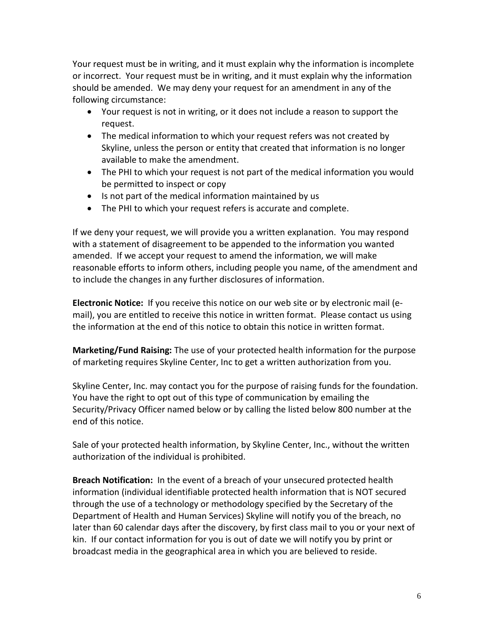Your request must be in writing, and it must explain why the information is incomplete or incorrect. Your request must be in writing, and it must explain why the information should be amended. We may deny your request for an amendment in any of the following circumstance:

- Your request is not in writing, or it does not include a reason to support the request.
- The medical information to which your request refers was not created by Skyline, unless the person or entity that created that information is no longer available to make the amendment.
- The PHI to which your request is not part of the medical information you would be permitted to inspect or copy
- Is not part of the medical information maintained by us
- The PHI to which your request refers is accurate and complete.

If we deny your request, we will provide you a written explanation. You may respond with a statement of disagreement to be appended to the information you wanted amended. If we accept your request to amend the information, we will make reasonable efforts to inform others, including people you name, of the amendment and to include the changes in any further disclosures of information.

**Electronic Notice:** If you receive this notice on our web site or by electronic mail (email), you are entitled to receive this notice in written format. Please contact us using the information at the end of this notice to obtain this notice in written format.

**Marketing/Fund Raising:** The use of your protected health information for the purpose of marketing requires Skyline Center, Inc to get a written authorization from you.

Skyline Center, Inc. may contact you for the purpose of raising funds for the foundation. You have the right to opt out of this type of communication by emailing the Security/Privacy Officer named below or by calling the listed below 800 number at the end of this notice.

Sale of your protected health information, by Skyline Center, Inc., without the written authorization of the individual is prohibited.

**Breach Notification:** In the event of a breach of your unsecured protected health information (individual identifiable protected health information that is NOT secured through the use of a technology or methodology specified by the Secretary of the Department of Health and Human Services) Skyline will notify you of the breach, no later than 60 calendar days after the discovery, by first class mail to you or your next of kin. If our contact information for you is out of date we will notify you by print or broadcast media in the geographical area in which you are believed to reside.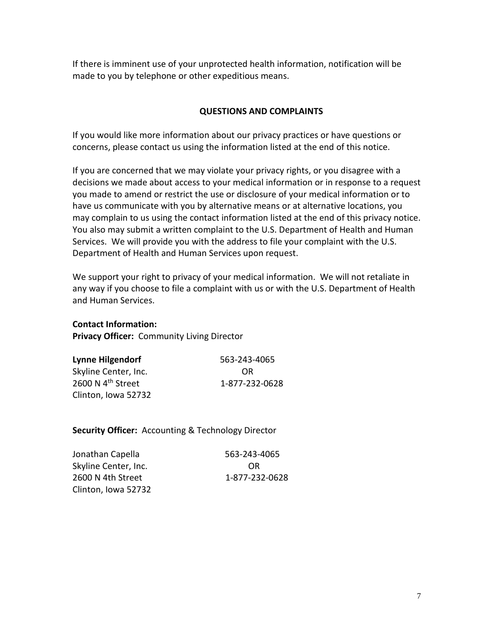If there is imminent use of your unprotected health information, notification will be made to you by telephone or other expeditious means.

## **QUESTIONS AND COMPLAINTS**

If you would like more information about our privacy practices or have questions or concerns, please contact us using the information listed at the end of this notice.

If you are concerned that we may violate your privacy rights, or you disagree with a decisions we made about access to your medical information or in response to a request you made to amend or restrict the use or disclosure of your medical information or to have us communicate with you by alternative means or at alternative locations, you may complain to us using the contact information listed at the end of this privacy notice. You also may submit a written complaint to the U.S. Department of Health and Human Services. We will provide you with the address to file your complaint with the U.S. Department of Health and Human Services upon request.

We support your right to privacy of your medical information. We will not retaliate in any way if you choose to file a complaint with us or with the U.S. Department of Health and Human Services.

**Contact Information:**

**Privacy Officer:** Community Living Director

| <b>Lynne Hilgendorf</b>       | 563-243-4065   |
|-------------------------------|----------------|
| Skyline Center, Inc.          | OR             |
| 2600 N 4 <sup>th</sup> Street | 1-877-232-0628 |
| Clinton, Iowa 52732           |                |

**Security Officer:** Accounting & Technology Director

| Jonathan Capella     | 563-243-4065   |
|----------------------|----------------|
| Skyline Center, Inc. | OR             |
| 2600 N 4th Street    | 1-877-232-0628 |
| Clinton, Iowa 52732  |                |